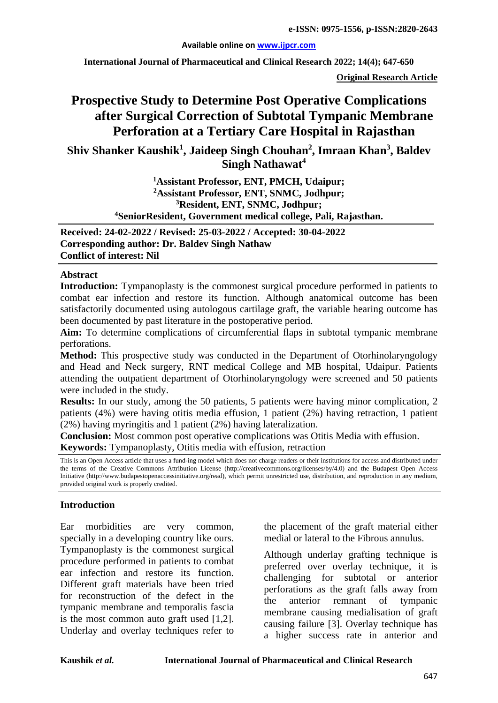#### **Available online on [www.ijpcr.com](http://www.ijpcr.com/)**

**International Journal of Pharmaceutical and Clinical Research 2022; 14(4); 647-650**

**Original Research Article**

# **Prospective Study to Determine Post Operative Complications after Surgical Correction of Subtotal Tympanic Membrane Perforation at a Tertiary Care Hospital in Rajasthan**

**Shiv Shanker Kaushik1 , Jaideep Singh Chouhan2 , Imraan Khan<sup>3</sup> , Baldev Singh Nathawat4**

> **1Assistant Professor, ENT, PMCH, Udaipur; 2Assistant Professor, ENT, SNMC, Jodhpur; 3Resident, ENT, SNMC, Jodhpur; 4 SeniorResident, Government medical college, Pali, Rajasthan.**

**Received: 24-02-2022 / Revised: 25-03-2022 / Accepted: 30-04-2022 Corresponding author: Dr. Baldev Singh Nathaw Conflict of interest: Nil**

#### **Abstract**

Introduction: Tympanoplasty is the commonest surgical procedure performed in patients to combat ear infection and restore its function. Although anatomical outcome has been satisfactorily documented using autologous cartilage graft, the variable hearing outcome has been documented by past literature in the postoperative period.

**Aim:** To determine complications of circumferential flaps in subtotal tympanic membrane perforations.

**Method:** This prospective study was conducted in the Department of Otorhinolaryngology and Head and Neck surgery, RNT medical College and MB hospital, Udaipur. Patients attending the outpatient department of Otorhinolaryngology were screened and 50 patients were included in the study.

**Results:** In our study, among the 50 patients, 5 patients were having minor complication, 2 patients (4%) were having otitis media effusion, 1 patient (2%) having retraction, 1 patient (2%) having myringitis and 1 patient (2%) having lateralization.

**Conclusion:** Most common post operative complications was Otitis Media with effusion. **Keywords:** Tympanoplasty, Otitis media with effusion, retraction

This is an Open Access article that uses a fund-ing model which does not charge readers or their institutions for access and distributed under the terms of the Creative Commons Attribution License (http://creativecommons.org/licenses/by/4.0) and the Budapest Open Access Initiative (http://www.budapestopenaccessinitiative.org/read), which permit unrestricted use, distribution, and reproduction in any medium, provided original work is properly credited.

#### **Introduction**

Ear morbidities are very common, specially in a developing country like ours. Tympanoplasty is the commonest surgical procedure performed in patients to combat ear infection and restore its function. Different graft materials have been tried for reconstruction of the defect in the tympanic membrane and temporalis fascia is the most common auto graft used [1,2]. Underlay and overlay techniques refer to

the placement of the graft material either medial or lateral to the Fibrous annulus.

Although underlay grafting technique is preferred over overlay technique, it is challenging for subtotal or anterior perforations as the graft falls away from the anterior remnant of tympanic membrane causing medialisation of graft causing failure [3]. Overlay technique has a higher success rate in anterior and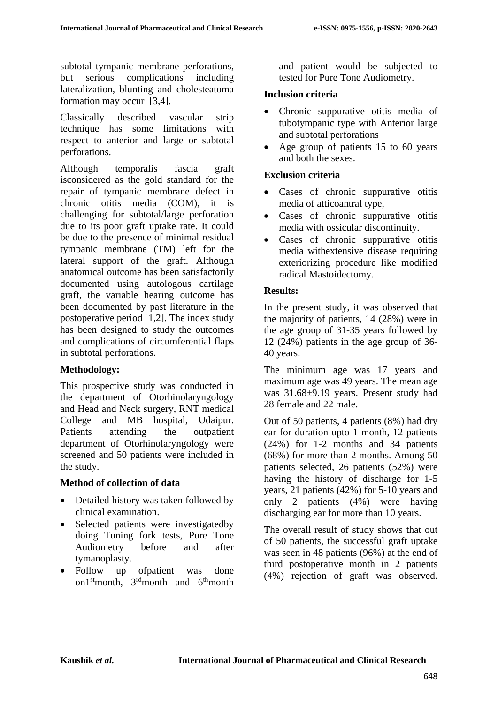subtotal tympanic membrane perforations, but serious complications including lateralization, blunting and cholesteatoma formation may occur [3,4].

Classically described vascular strip technique has some limitations with respect to anterior and large or subtotal perforations.

Although temporalis fascia graft isconsidered as the gold standard for the repair of tympanic membrane defect in chronic otitis media (COM), it is challenging for subtotal/large perforation due to its poor graft uptake rate. It could be due to the presence of minimal residual tympanic membrane (TM) left for the lateral support of the graft. Although anatomical outcome has been satisfactorily documented using autologous cartilage graft, the variable hearing outcome has been documented by past literature in the postoperative period [1,2]. The index study has been designed to study the outcomes and complications of circumferential flaps in subtotal perforations.

# **Methodology:**

This prospective study was conducted in the department of Otorhinolaryngology and Head and Neck surgery, RNT medical College and MB hospital, Udaipur. Patients attending the outpatient department of Otorhinolaryngology were screened and 50 patients were included in the study.

# **Method of collection of data**

- Detailed history was taken followed by clinical examination.
- Selected patients were investigatedby doing Tuning fork tests, Pure Tone Audiometry before and after tymanoplasty.
- Follow up ofpatient was done on1stmonth, 3rdmonth and 6thmonth

and patient would be subjected to tested for Pure Tone Audiometry.

#### **Inclusion criteria**

- Chronic suppurative otitis media of tubotympanic type with Anterior large and subtotal perforations
- Age group of patients 15 to 60 years and both the sexes.

#### **Exclusion criteria**

- Cases of chronic suppurative otitis media of atticoantral type,
- Cases of chronic suppurative otitis media with ossicular discontinuity.
- Cases of chronic suppurative otitis media withextensive disease requiring exteriorizing procedure like modified radical Mastoidectomy.

#### **Results:**

In the present study, it was observed that the majority of patients, 14 (28%) were in the age group of 31-35 years followed by 12 (24%) patients in the age group of 36- 40 years.

The minimum age was 17 years and maximum age was 49 years. The mean age was 31.68±9.19 years. Present study had 28 female and 22 male.

Out of 50 patients, 4 patients (8%) had dry ear for duration upto 1 month, 12 patients (24%) for 1-2 months and 34 patients (68%) for more than 2 months. Among 50 patients selected, 26 patients (52%) were having the history of discharge for 1-5 years, 21 patients (42%) for 5-10 years and only 2 patients (4%) were having discharging ear for more than 10 years.

The overall result of study shows that out of 50 patients, the successful graft uptake was seen in 48 patients (96%) at the end of third postoperative month in 2 patients (4%) rejection of graft was observed.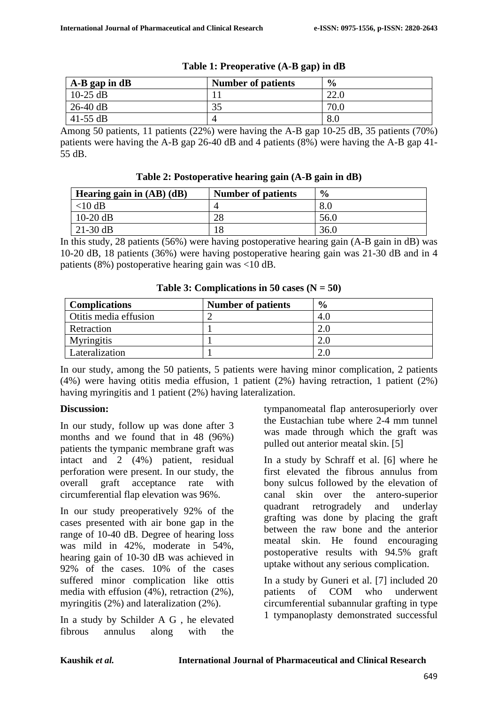| $A-B$ gap in dB | <b>Number of patients</b> | $\frac{6}{9}$ |
|-----------------|---------------------------|---------------|
| $10-25$ dB      |                           | 22.0          |
| $26-40$ dB      | 35                        | 70.0          |
| 41-55 $dB$      |                           | 8.0           |

#### **Table 1: Preoperative (A-B gap) in dB**

Among 50 patients, 11 patients (22%) were having the A-B gap 10-25 dB, 35 patients (70%) patients were having the A-B gap 26-40 dB and 4 patients (8%) were having the A-B gap 41- 55 dB.

**Table 2: Postoperative hearing gain (A-B gain in dB)**

| Hearing gain in $(AB)$ $(dB)$ | <b>Number of patients</b> | $\frac{6}{6}$ |
|-------------------------------|---------------------------|---------------|
| $<$ 10 dB                     |                           | 8.0           |
| $10-20$ dB                    | 28                        | 56.0          |
| $21-30$ dB                    |                           | 36.0          |

In this study, 28 patients (56%) were having postoperative hearing gain (A-B gain in dB) was 10-20 dB, 18 patients (36%) were having postoperative hearing gain was 21-30 dB and in 4 patients (8%) postoperative hearing gain was <10 dB.

| <b>Complications</b>  | <b>Number of patients</b> | $\frac{6}{9}$ |
|-----------------------|---------------------------|---------------|
| Otitis media effusion |                           | 4.U           |
| Retraction            |                           |               |
| <b>Myringitis</b>     |                           |               |
| Lateralization        |                           |               |

**Table 3: Complications in 50 cases**  $(N = 50)$ 

In our study, among the 50 patients, 5 patients were having minor complication, 2 patients (4%) were having otitis media effusion, 1 patient (2%) having retraction, 1 patient (2%) having myringitis and 1 patient (2%) having lateralization.

# **Discussion:**

In our study, follow up was done after 3 months and we found that in 48 (96%) patients the tympanic membrane graft was intact and 2 (4%) patient, residual perforation were present. In our study, the overall graft acceptance rate with circumferential flap elevation was 96%.

In our study preoperatively 92% of the cases presented with air bone gap in the range of 10-40 dB. Degree of hearing loss was mild in 42%, moderate in 54%, hearing gain of 10-30 dB was achieved in 92% of the cases. 10% of the cases suffered minor complication like ottis media with effusion (4%), retraction (2%), myringitis (2%) and lateralization (2%).

In a study by Schilder A G , he elevated fibrous annulus along with the

tympanomeatal flap anterosuperiorly over the Eustachian tube where 2-4 mm tunnel was made through which the graft was pulled out anterior meatal skin. [5]

In a study by Schraff et al. [6] where he first elevated the fibrous annulus from bony sulcus followed by the elevation of canal skin over the antero-superior quadrant retrogradely and underlay grafting was done by placing the graft between the raw bone and the anterior meatal skin. He found encouraging postoperative results with 94.5% graft uptake without any serious complication.

In a study by Guneri et al. [7] included 20 patients of COM who underwent circumferential subannular grafting in type 1 tympanoplasty demonstrated successful